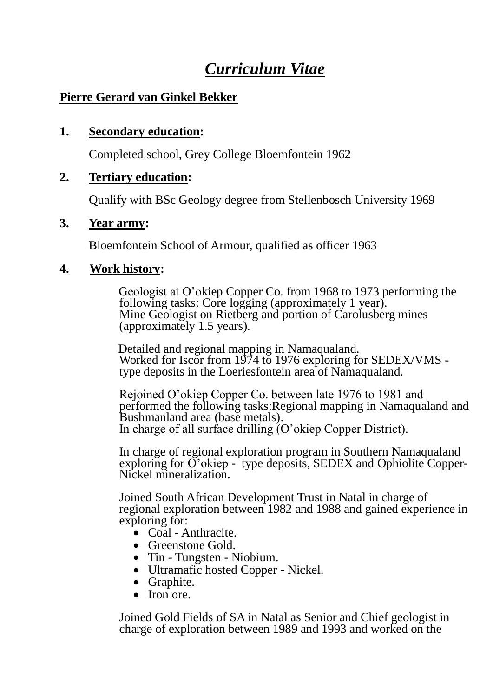# *Curriculum Vitae*

## **Pierre Gerard van Ginkel Bekker**

### **1. Secondary education:**

Completed school, Grey College Bloemfontein 1962

#### **2. Tertiary education:**

Qualify with BSc Geology degree from Stellenbosch University 1969

#### **3. Year army:**

Bloemfontein School of Armour, qualified as officer 1963

#### **4. Work history:**

Geologist at O'okiep Copper Co. from 1968 to 1973 performing the following tasks: Core logging (approximately 1 year). Mine Geologist on Rietberg and portion of Carolusberg mines (approximately 1.5 years).

Detailed and regional mapping in Namaqualand. Worked for Iscor from 1974 to 1976 exploring for SEDEX/VMS type deposits in the Loeriesfontein area of Namaqualand.

Rejoined O'okiep Copper Co. between late 1976 to 1981 and performed the following tasks:Regional mapping in Namaqualand and Bushmanland area (base metals). In charge of all surface drilling (O'okiep Copper District).

In charge of regional exploration program in Southern Namaqualand exploring for O'okiep - type deposits, SEDEX and Ophiolite Copper-Nickel mineralization.

Joined South African Development Trust in Natal in charge of regional exploration between 1982 and 1988 and gained experience in exploring for:

- Coal Anthracite.
- Greenstone Gold.
- Tin Tungsten Niobium.
- Ultramafic hosted Copper Nickel.
- Graphite.
- $\bullet$  Iron ore.

Joined Gold Fields of SA in Natal as Senior and Chief geologist in charge of exploration between 1989 and 1993 and worked on the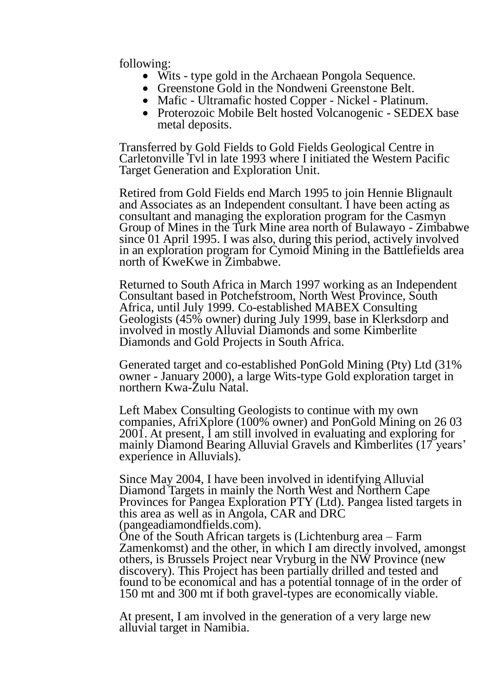following:

- Wits type gold in the Archaean Pongola Sequence.
- Greenstone Gold in the Nondweni Greenstone Belt.
- Mafic Ultramafic hosted Copper Nickel Platinum.
- Proterozoic Mobile Belt hosted Volcanogenic SEDEX base metal deposits.

Transferred by Gold Fields to Gold Fields Geological Centre in Carletonville Tvl in late 1993 where I initiated the Western Pacific Target Generation and Exploration Unit.

Retired from Gold Fields end March 1995 to join Hennie Blignault and Associates as an Independent consultant. I have been acting as consultant and managing the exploration program for the Casmyn Group of Mines in the Turk Mine area north of Bulawayo - Zimbabwe since 01 April 1995. I was also, during this period, actively involved in an exploration program for Cymoid Mining in the Battlefields area north of KweKwe in Zimbabwe.

Returned to South Africa in March 1997 working as an Independent Consultant based in Potchefstroom, North West Province, South Africa, until July 1999. Co-established MABEX Consulting Geologists (45% owner) during July 1999, base in Klerksdorp and involved in mostly Alluvial Diamonds and some Kimberlite Diamonds and Gold Projects in South Africa.

Generated target and co-established PonGold Mining (Pty) Ltd (31% owner - January 2000), a large Wits-type Gold exploration target in northern Kwa-Zulu Natal.

Left Mabex Consulting Geologists to continue with my own companies, AfriXplore (100% owner) and PonGold Mining on 26 03 2001. At present, I am still involved in evaluating and exploring for mainly Diamond Bearing Alluvial Gravels and Kimberlites (17 years' experience in Alluvials).

Since May 2004, I have been involved in identifying Alluvial Diamond Targets in mainly the North West and Northern Cape Provinces for Pangea Exploration PTY (Ltd). Pangea listed targets in this area as well as in Angola, CAR and DRC (pangeadiamondfields.com).

One of the South African targets is (Lichtenburg area – Farm Zamenkomst) and the other, in which I am directly involved, amongst others, is Brussels Project near Vryburg in the NW Province (new discovery). This Project has been partially drilled and tested and found to be economical and has a potential tonnage of in the order of 150 mt and 300 mt if both gravel-types are economically viable.

At present, I am involved in the generation of a very large new alluvial target in Namibia.